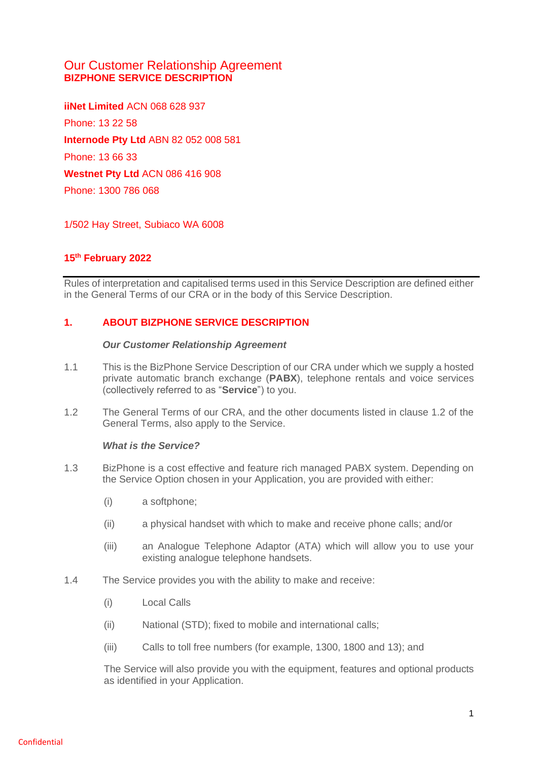# Our Customer Relationship Agreement **BIZPHONE SERVICE DESCRIPTION**

**iiNet Limited** ACN 068 628 937 Phone: 13 22 58 **Internode Pty Ltd** ABN 82 052 008 581 Phone: 13 66 33 **Westnet Pty Ltd** ACN 086 416 908 Phone: 1300 786 068

1/502 Hay Street, Subiaco WA 6008

## **15th February 2022**

Rules of interpretation and capitalised terms used in this Service Description are defined either in the General Terms of our CRA or in the body of this Service Description.

## **1. ABOUT BIZPHONE SERVICE DESCRIPTION**

#### *Our Customer Relationship Agreement*

- 1.1 This is the BizPhone Service Description of our CRA under which we supply a hosted private automatic branch exchange (**PABX**), telephone rentals and voice services (collectively referred to as "**Service**") to you.
- 1.2 The General Terms of our CRA, and the other documents listed in clause 1.2 of the General Terms, also apply to the Service.

#### *What is the Service?*

- 1.3 BizPhone is a cost effective and feature rich managed PABX system. Depending on the Service Option chosen in your Application, you are provided with either:
	- (i) a softphone;
	- (ii) a physical handset with which to make and receive phone calls; and/or
	- (iii) an Analogue Telephone Adaptor (ATA) which will allow you to use your existing analogue telephone handsets.
- 1.4 The Service provides you with the ability to make and receive:
	- (i) Local Calls
	- (ii) National (STD); fixed to mobile and international calls;
	- (iii) Calls to toll free numbers (for example, 1300, 1800 and 13); and

The Service will also provide you with the equipment, features and optional products as identified in your Application.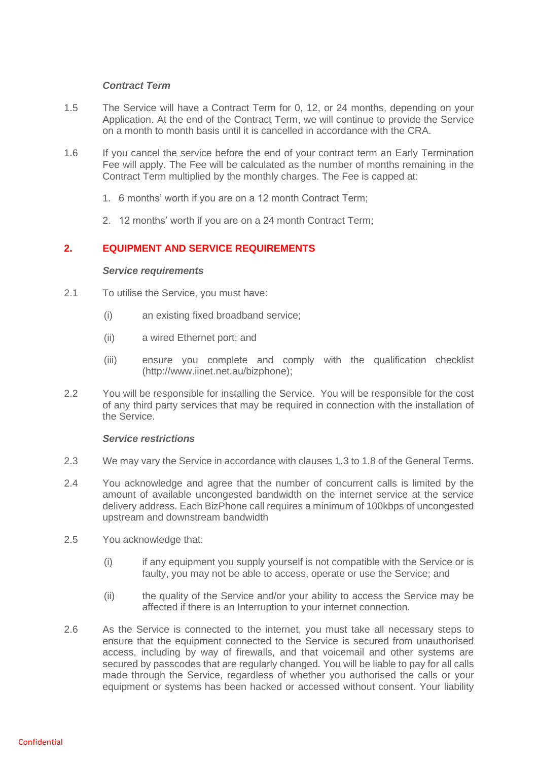### *Contract Term*

- 1.5 The Service will have a Contract Term for 0, 12, or 24 months, depending on your Application. At the end of the Contract Term, we will continue to provide the Service on a month to month basis until it is cancelled in accordance with the CRA.
- 1.6 If you cancel the service before the end of your contract term an Early Termination Fee will apply. The Fee will be calculated as the number of months remaining in the Contract Term multiplied by the monthly charges. The Fee is capped at:
	- 1. 6 months' worth if you are on a 12 month Contract Term;
	- 2. 12 months' worth if you are on a 24 month Contract Term;

## **2. EQUIPMENT AND SERVICE REQUIREMENTS**

#### *Service requirements*

- 2.1 To utilise the Service, you must have:
	- (i) an existing fixed broadband service;
	- (ii) a wired Ethernet port; and
	- (iii) ensure you complete and comply with the qualification checklist (http://www.iinet.net.au/bizphone);
- 2.2 You will be responsible for installing the Service. You will be responsible for the cost of any third party services that may be required in connection with the installation of the Service.

## *Service restrictions*

- 2.3 We may vary the Service in accordance with clauses 1.3 to 1.8 of the General Terms.
- 2.4 You acknowledge and agree that the number of concurrent calls is limited by the amount of available uncongested bandwidth on the internet service at the service delivery address. Each BizPhone call requires a minimum of 100kbps of uncongested upstream and downstream bandwidth
- 2.5 You acknowledge that:
	- (i) if any equipment you supply yourself is not compatible with the Service or is faulty, you may not be able to access, operate or use the Service; and
	- (ii) the quality of the Service and/or your ability to access the Service may be affected if there is an Interruption to your internet connection.
- 2.6 As the Service is connected to the internet, you must take all necessary steps to ensure that the equipment connected to the Service is secured from unauthorised access, including by way of firewalls, and that voicemail and other systems are secured by passcodes that are regularly changed. You will be liable to pay for all calls made through the Service, regardless of whether you authorised the calls or your equipment or systems has been hacked or accessed without consent. Your liability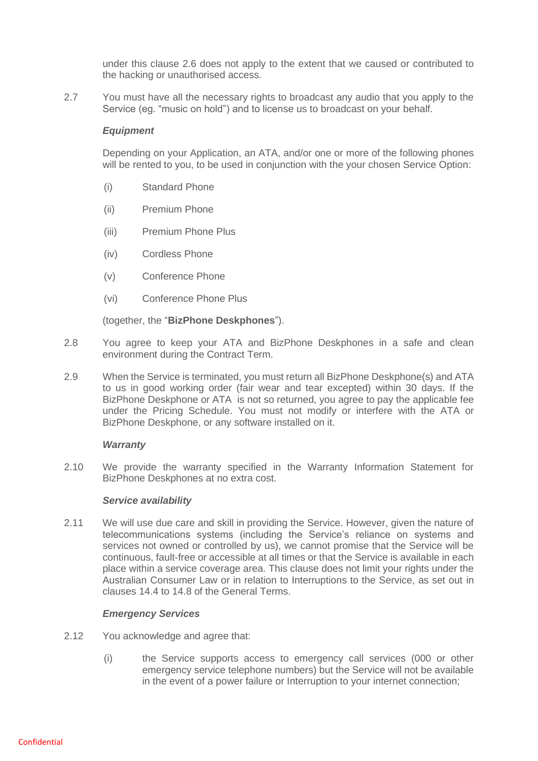under this clause 2.6 does not apply to the extent that we caused or contributed to the hacking or unauthorised access.

2.7 You must have all the necessary rights to broadcast any audio that you apply to the Service (eg. "music on hold") and to license us to broadcast on your behalf.

### *Equipment*

Depending on your Application, an ATA, and/or one or more of the following phones will be rented to you, to be used in conjunction with the your chosen Service Option:

- (i) Standard Phone
- (ii) Premium Phone
- (iii) Premium Phone Plus
- (iv) Cordless Phone
- (v) Conference Phone
- (vi) Conference Phone Plus

(together, the "**BizPhone Deskphones**").

- 2.8 You agree to keep your ATA and BizPhone Deskphones in a safe and clean environment during the Contract Term.
- 2.9 When the Service is terminated, you must return all BizPhone Deskphone(s) and ATA to us in good working order (fair wear and tear excepted) within 30 days. If the BizPhone Deskphone or ATA is not so returned, you agree to pay the applicable fee under the Pricing Schedule. You must not modify or interfere with the ATA or BizPhone Deskphone, or any software installed on it.

#### *Warranty*

2.10 We provide the warranty specified in the Warranty Information Statement for BizPhone Deskphones at no extra cost.

#### *Service availability*

2.11 We will use due care and skill in providing the Service. However, given the nature of telecommunications systems (including the Service's reliance on systems and services not owned or controlled by us), we cannot promise that the Service will be continuous, fault-free or accessible at all times or that the Service is available in each place within a service coverage area. This clause does not limit your rights under the Australian Consumer Law or in relation to Interruptions to the Service, as set out in clauses 14.4 to 14.8 of the General Terms.

## *Emergency Services*

- 2.12 You acknowledge and agree that:
	- (i) the Service supports access to emergency call services (000 or other emergency service telephone numbers) but the Service will not be available in the event of a power failure or Interruption to your internet connection;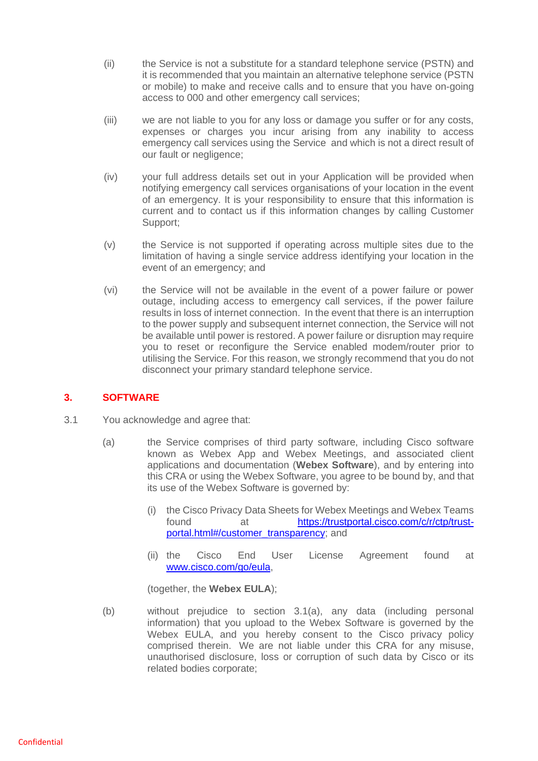- (ii) the Service is not a substitute for a standard telephone service (PSTN) and it is recommended that you maintain an alternative telephone service (PSTN or mobile) to make and receive calls and to ensure that you have on-going access to 000 and other emergency call services;
- (iii) we are not liable to you for any loss or damage you suffer or for any costs, expenses or charges you incur arising from any inability to access emergency call services using the Service and which is not a direct result of our fault or negligence;
- (iv) your full address details set out in your Application will be provided when notifying emergency call services organisations of your location in the event of an emergency. It is your responsibility to ensure that this information is current and to contact us if this information changes by calling Customer Support;
- (v) the Service is not supported if operating across multiple sites due to the limitation of having a single service address identifying your location in the event of an emergency; and
- (vi) the Service will not be available in the event of a power failure or power outage, including access to emergency call services, if the power failure results in loss of internet connection. In the event that there is an interruption to the power supply and subsequent internet connection, the Service will not be available until power is restored. A power failure or disruption may require you to reset or reconfigure the Service enabled modem/router prior to utilising the Service. For this reason, we strongly recommend that you do not disconnect your primary standard telephone service.

# **3. SOFTWARE**

- 3.1 You acknowledge and agree that:
	- (a) the Service comprises of third party software, including Cisco software known as Webex App and Webex Meetings, and associated client applications and documentation (**Webex Software**), and by entering into this CRA or using the Webex Software, you agree to be bound by, and that its use of the Webex Software is governed by:
		- (i) the Cisco Privacy Data Sheets for Webex Meetings and Webex Teams found at [https://trustportal.cisco.com/c/r/ctp/trust](https://trustportal.cisco.com/c/r/ctp/trust-portal.html#/customer_transparency)[portal.html#/customer\\_transparency;](https://trustportal.cisco.com/c/r/ctp/trust-portal.html#/customer_transparency) and
		- (ii) the Cisco End User License Agreement found at [www.cisco.com/go/eula,](http://www.cisco.com/go/eula)

(together, the **Webex EULA**);

(b) without prejudice to section 3.1(a), any data (including personal information) that you upload to the Webex Software is governed by the Webex EULA, and you hereby consent to the Cisco privacy policy comprised therein. We are not liable under this CRA for any misuse, unauthorised disclosure, loss or corruption of such data by Cisco or its related bodies corporate;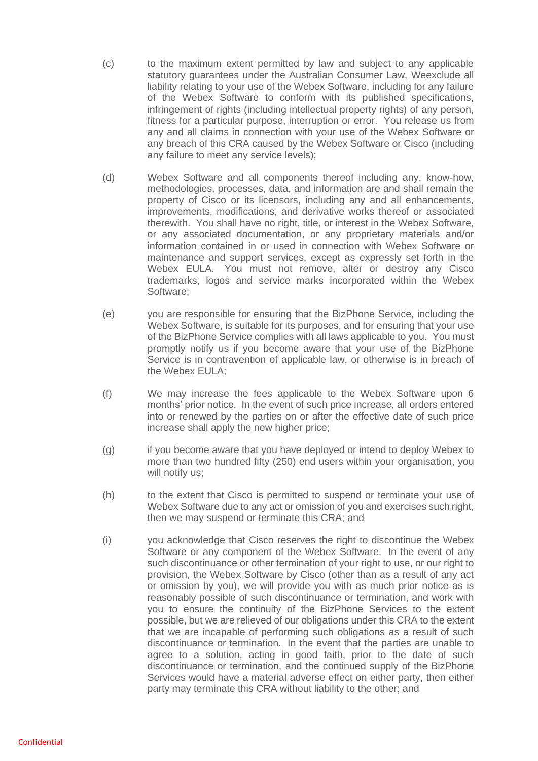- (c) to the maximum extent permitted by law and subject to any applicable statutory guarantees under the Australian Consumer Law, Weexclude all liability relating to your use of the Webex Software, including for any failure of the Webex Software to conform with its published specifications, infringement of rights (including intellectual property rights) of any person, fitness for a particular purpose, interruption or error. You release us from any and all claims in connection with your use of the Webex Software or any breach of this CRA caused by the Webex Software or Cisco (including any failure to meet any service levels);
- (d) Webex Software and all components thereof including any, know-how, methodologies, processes, data, and information are and shall remain the property of Cisco or its licensors, including any and all enhancements, improvements, modifications, and derivative works thereof or associated therewith. You shall have no right, title, or interest in the Webex Software, or any associated documentation, or any proprietary materials and/or information contained in or used in connection with Webex Software or maintenance and support services, except as expressly set forth in the Webex EULA. You must not remove, alter or destroy any Cisco trademarks, logos and service marks incorporated within the Webex Software;
- (e) you are responsible for ensuring that the BizPhone Service, including the Webex Software, is suitable for its purposes, and for ensuring that your use of the BizPhone Service complies with all laws applicable to you. You must promptly notify us if you become aware that your use of the BizPhone Service is in contravention of applicable law, or otherwise is in breach of the Webex EULA;
- (f) We may increase the fees applicable to the Webex Software upon 6 months' prior notice. In the event of such price increase, all orders entered into or renewed by the parties on or after the effective date of such price increase shall apply the new higher price;
- (g) if you become aware that you have deployed or intend to deploy Webex to more than two hundred fifty (250) end users within your organisation, you will notify us:
- (h) to the extent that Cisco is permitted to suspend or terminate your use of Webex Software due to any act or omission of you and exercises such right, then we may suspend or terminate this CRA; and
- (i) you acknowledge that Cisco reserves the right to discontinue the Webex Software or any component of the Webex Software. In the event of any such discontinuance or other termination of your right to use, or our right to provision, the Webex Software by Cisco (other than as a result of any act or omission by you), we will provide you with as much prior notice as is reasonably possible of such discontinuance or termination, and work with you to ensure the continuity of the BizPhone Services to the extent possible, but we are relieved of our obligations under this CRA to the extent that we are incapable of performing such obligations as a result of such discontinuance or termination. In the event that the parties are unable to agree to a solution, acting in good faith, prior to the date of such discontinuance or termination, and the continued supply of the BizPhone Services would have a material adverse effect on either party, then either party may terminate this CRA without liability to the other; and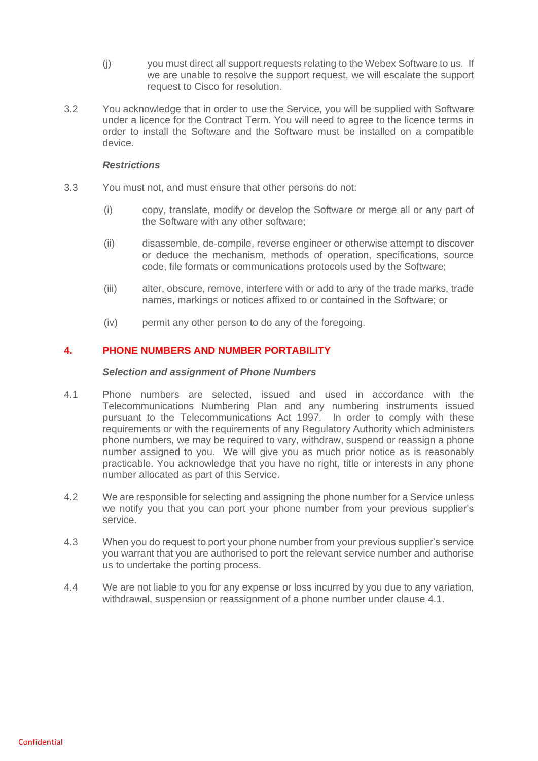- (j) you must direct all support requests relating to the Webex Software to us. If we are unable to resolve the support request, we will escalate the support request to Cisco for resolution.
- 3.2 You acknowledge that in order to use the Service, you will be supplied with Software under a licence for the Contract Term. You will need to agree to the licence terms in order to install the Software and the Software must be installed on a compatible device.

#### *Restrictions*

- 3.3 You must not, and must ensure that other persons do not:
	- (i) copy, translate, modify or develop the Software or merge all or any part of the Software with any other software;
	- (ii) disassemble, de-compile, reverse engineer or otherwise attempt to discover or deduce the mechanism, methods of operation, specifications, source code, file formats or communications protocols used by the Software;
	- (iii) alter, obscure, remove, interfere with or add to any of the trade marks, trade names, markings or notices affixed to or contained in the Software; or
	- (iv) permit any other person to do any of the foregoing.

## **4. PHONE NUMBERS AND NUMBER PORTABILITY**

#### *Selection and assignment of Phone Numbers*

- <span id="page-5-0"></span>4.1 Phone numbers are selected, issued and used in accordance with the Telecommunications Numbering Plan and any numbering instruments issued pursuant to the Telecommunications Act 1997. In order to comply with these requirements or with the requirements of any Regulatory Authority which administers phone numbers, we may be required to vary, withdraw, suspend or reassign a phone number assigned to you. We will give you as much prior notice as is reasonably practicable. You acknowledge that you have no right, title or interests in any phone number allocated as part of this Service.
- 4.2 We are responsible for selecting and assigning the phone number for a Service unless we notify you that you can port your phone number from your previous supplier's service.
- 4.3 When you do request to port your phone number from your previous supplier's service you warrant that you are authorised to port the relevant service number and authorise us to undertake the porting process.
- 4.4 We are not liable to you for any expense or loss incurred by you due to any variation, withdrawal, suspension or reassignment of a phone number under clause [4.1.](#page-5-0)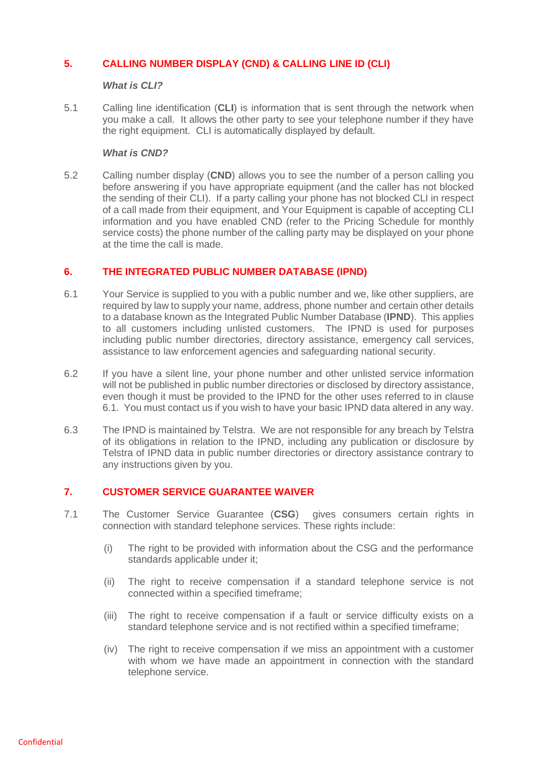## **5. CALLING NUMBER DISPLAY (CND) & CALLING LINE ID (CLI)**

#### *What is CLI?*

5.1 Calling line identification (**CLI**) is information that is sent through the network when you make a call. It allows the other party to see your telephone number if they have the right equipment. CLI is automatically displayed by default.

## *What is CND?*

5.2 Calling number display (**CND**) allows you to see the number of a person calling you before answering if you have appropriate equipment (and the caller has not blocked the sending of their CLI). If a party calling your phone has not blocked CLI in respect of a call made from their equipment, and Your Equipment is capable of accepting CLI information and you have enabled CND (refer to the Pricing Schedule for monthly service costs) the phone number of the calling party may be displayed on your phone at the time the call is made.

## **6. THE INTEGRATED PUBLIC NUMBER DATABASE (IPND)**

- <span id="page-6-0"></span>6.1 Your Service is supplied to you with a public number and we, like other suppliers, are required by law to supply your name, address, phone number and certain other details to a database known as the Integrated Public Number Database (**IPND**). This applies to all customers including unlisted customers. The IPND is used for purposes including public number directories, directory assistance, emergency call services, assistance to law enforcement agencies and safeguarding national security.
- 6.2 If you have a silent line, your phone number and other unlisted service information will not be published in public number directories or disclosed by directory assistance, even though it must be provided to the IPND for the other uses referred to in clause [6.1.](#page-6-0) You must contact us if you wish to have your basic IPND data altered in any way.
- 6.3 The IPND is maintained by Telstra. We are not responsible for any breach by Telstra of its obligations in relation to the IPND, including any publication or disclosure by Telstra of IPND data in public number directories or directory assistance contrary to any instructions given by you.

## **7. CUSTOMER SERVICE GUARANTEE WAIVER**

- 7.1 The Customer Service Guarantee (**CSG**) gives consumers certain rights in connection with standard telephone services. These rights include:
	- (i) The right to be provided with information about the CSG and the performance standards applicable under it;
	- (ii) The right to receive compensation if a standard telephone service is not connected within a specified timeframe;
	- (iii) The right to receive compensation if a fault or service difficulty exists on a standard telephone service and is not rectified within a specified timeframe;
	- (iv) The right to receive compensation if we miss an appointment with a customer with whom we have made an appointment in connection with the standard telephone service.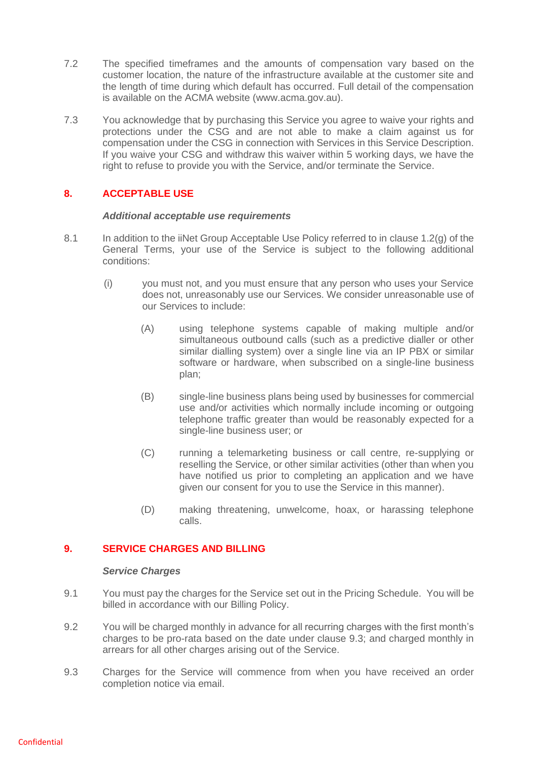- 7.2 The specified timeframes and the amounts of compensation vary based on the customer location, the nature of the infrastructure available at the customer site and the length of time during which default has occurred. Full detail of the compensation is available on the ACMA website (www.acma.gov.au).
- 7.3 You acknowledge that by purchasing this Service you agree to waive your rights and protections under the CSG and are not able to make a claim against us for compensation under the CSG in connection with Services in this Service Description. If you waive your CSG and withdraw this waiver within 5 working days, we have the right to refuse to provide you with the Service, and/or terminate the Service.

# **8. ACCEPTABLE USE**

### *Additional acceptable use requirements*

- 8.1 In addition to the iiNet Group Acceptable Use Policy referred to in clause 1.2(g) of the General Terms, your use of the Service is subject to the following additional conditions:
	- (i) you must not, and you must ensure that any person who uses your Service does not, unreasonably use our Services. We consider unreasonable use of our Services to include:
		- (A) using telephone systems capable of making multiple and/or simultaneous outbound calls (such as a predictive dialler or other similar dialling system) over a single line via an IP PBX or similar software or hardware, when subscribed on a single-line business plan;
		- (B) single-line business plans being used by businesses for commercial use and/or activities which normally include incoming or outgoing telephone traffic greater than would be reasonably expected for a single-line business user; or
		- (C) running a telemarketing business or call centre, re-supplying or reselling the Service, or other similar activities (other than when you have notified us prior to completing an application and we have given our consent for you to use the Service in this manner).
		- (D) making threatening, unwelcome, hoax, or harassing telephone calls.

## **9. SERVICE CHARGES AND BILLING**

## *Service Charges*

- 9.1 You must pay the charges for the Service set out in the Pricing Schedule. You will be billed in accordance with our Billing Policy.
- 9.2 You will be charged monthly in advance for all recurring charges with the first month's charges to be pro-rata based on the date under clause 9.3; and charged monthly in arrears for all other charges arising out of the Service.
- 9.3 Charges for the Service will commence from when you have received an order completion notice via email.